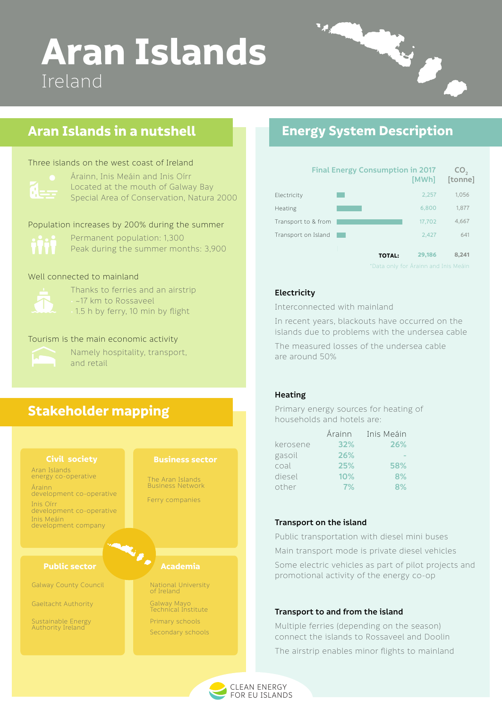

# **Aran Islands** Ireland

# **Energy System Description**

# **Stakeholder mapping**

# **Aran Islands in a nutshell**

Permanent population: 1,300 Peak during the summer months: 3,900

Population increases by 200% during the summer

#### Well connected to mainland



Thanks to ferries and an airstrip • ~17 km to Rossaveel • 1.5 h by ferry, 10 min by flight

#### **Electricity**

Interconnected with mainland

In recent years, blackouts have occurred on the islands due to problems with the undersea cable

The measured losses of the undersea cable are around 50%

**Transport on the island**

#### **Public sector Academia**

Public transportation with diesel mini buses

Main transport mode is private diesel vehicles

Some electric vehicles as part of pilot projects and promotional activity of the energy co-op

#### **Transport to and from the island**



Multiple ferries (depending on the season) connect the islands to Rossaveel and Doolin The airstrip enables minor flights to mainland

**29,186 8,241**

**TOTAL:**

#### **Civil society**

#### **Business sector**

Aran Islands energy co-operative

Árainn development co-operative

Inis Oírr development co-operative

Inis Meáin development company The Aran Islands Business Network

Ferry companies

Gaeltacht Authority

Sustainable Energy Authority Ireland

Galway County Council

Galway Mayo Technical Institute

Primary schools Secondary schools

National University of Ireland

Located at the mouth of Galway Bay Special Area of Conservation, Natura 2000

#### Three islands on the west coast of Ireland



#### Tourism is the main economic activity



Namely hospitality, transport, and retail

### **Heating**

Primary energy sources for heating of households and hotels are:

|          | Árainn | Inis Meáin |
|----------|--------|------------|
| kerosene | 32%    | 26%        |
| gasoil   | 26%    |            |
| coal     | 25%    | 58%        |
| diesel   | 10%    | 8%         |
| other    | 7%     | 8%         |